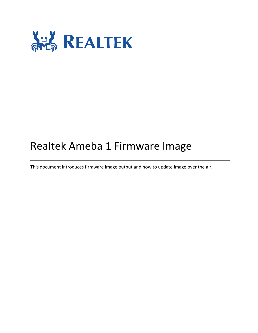

# Realtek Ameba 1 Firmware Image

This document introduces firmware image output and how to update image over the air.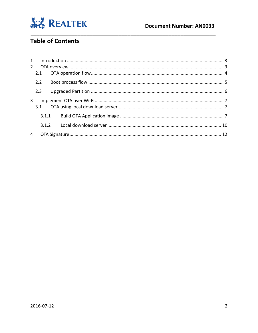

## Table of Contents

| $2^{\circ}$ |       |       |  |
|-------------|-------|-------|--|
|             | 2.1   |       |  |
|             | 2.2   |       |  |
|             | 2.3   |       |  |
| 3           |       |       |  |
|             |       | 3.1.1 |  |
|             | 3.1.2 |       |  |
| 4           |       |       |  |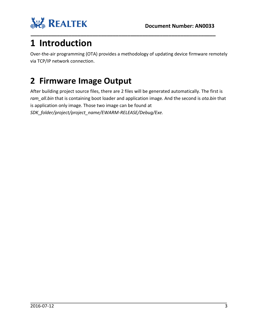

# <span id="page-2-0"></span>**1 Introduction**

Over-the-air programming (OTA) provides a methodology of updating device firmware remotely via TCP/IP network connection.

# <span id="page-2-1"></span>**2 Firmware Image Output**

After building project source files, there are 2 files will be generated automatically. The first is *ram\_all.bin* that is containing boot loader and application image. And the second is *ota.bin* that is application only image. Those two image can be found at *SDK\_folder/project/project\_name/EWARM-RELEASE/Debug/Exe.*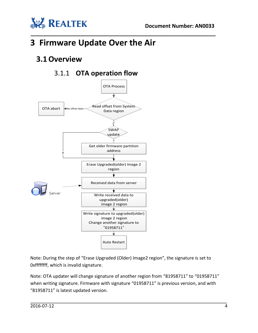



# **3 Firmware Update Over the Air**

## <span id="page-3-0"></span>**3.1Overview**

### 3.1.1 **OTA operation flow**



Note: During the step of "Erase Upgraded (Older) Image2 region", the signature is set to 0xffffffff, which is invalid signature.

Note: OTA updater will change signature of another region from "81958711" to "01958711" when writing signature. Firmware with signature "01958711" is previous version, and with "81958711" is latest updated version.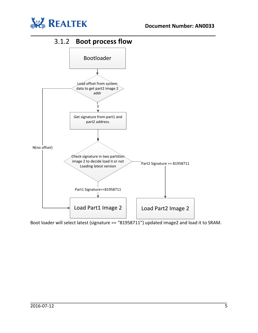

### 3.1.2 **Boot process flow**



<span id="page-4-0"></span>**\_\_\_\_\_\_\_\_\_\_\_\_\_\_\_\_\_\_\_\_\_\_\_\_\_\_\_\_\_\_\_\_\_\_\_\_\_\_\_\_\_\_\_\_\_\_\_\_\_\_\_\_\_\_\_\_\_\_\_\_\_\_\_**

Boot loader will select latest (signature == "81958711") updated image2 and load it to SRAM.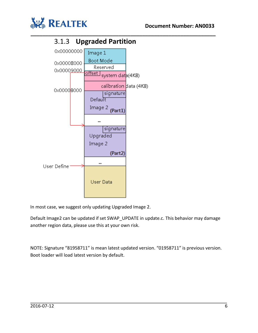



<span id="page-5-0"></span>

In most case, we suggest only updating Upgraded Image 2.

Default Image2 can be updated if set SWAP\_UPDATE in update.c. This behavior may damage another region data, please use this at your own risk.

NOTE: Signature "81958711" is mean latest updated version. "01958711" is previous version. Boot loader will load latest version by default.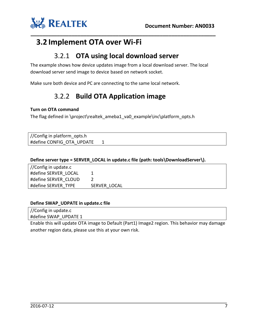

### <span id="page-6-1"></span>**3.2 Implement OTA over Wi-Fi**

#### 3.2.1 **OTA using local download server**

The example shows how device updates image from a local download server. The local download server send image to device based on network socket.

<span id="page-6-0"></span>**\_\_\_\_\_\_\_\_\_\_\_\_\_\_\_\_\_\_\_\_\_\_\_\_\_\_\_\_\_\_\_\_\_\_\_\_\_\_\_\_\_\_\_\_\_\_\_\_\_\_\_\_\_\_\_\_\_\_\_\_\_\_\_**

<span id="page-6-2"></span>Make sure both device and PC are connecting to the same local network.

### 3.2.2 **Build OTA Application image**

#### **Turn on OTA command**

The flag defined in \project\realtek\_ameba1\_va0\_example\inc\platform\_opts.h

//Config in platform\_opts.h #define CONFIG\_OTA\_UPDATE 1

**Define server type = SERVER\_LOCAL in update.c file (path: tools\DownloadServer\).**

//Config in update.c #define SERVER\_LOCAL 1 #define SERVER CLOUD 2 #define SERVER\_TYPE SERVER\_LOCAL

#### **Define SWAP\_UDPATE in update.c file**

//Config in update.c #define SWAP\_UPDATE 1

Enable this will update OTA image to Default (Part1) Image2 region. This behavior may damage another region data, please use this at your own risk.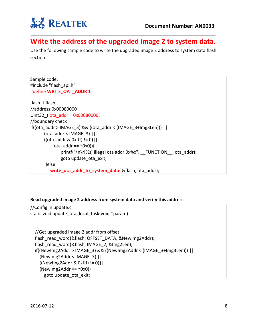

#### **\_\_\_\_\_\_\_\_\_\_\_\_\_\_\_\_\_\_\_\_\_\_\_\_\_\_\_\_\_\_\_\_\_\_\_\_\_\_\_\_\_\_\_\_\_\_\_\_\_\_\_\_\_\_\_\_\_\_\_\_\_\_\_ Write the address of the upgraded image 2 to system data.**

Use the following sample code to write the upgraded image 2 address to system data flash section.

```
Sample code:
#include "flash_api.h"
#define WRITE_OAT_ADDR 1
flash t flash;
//address:0x00080000
Uint32_t ota_addr = 0x00080000;
//boundary check
if((ota_addr > IMAGE_3) && ((ota_addr < (IMAGE_3+Img3Len))) | |
      (ota_addr < IMAGE_3) ||((ota \ addr & 0xff) != 0)||
          (ota \text{addr} == \text{``Ox0)}}
              printf("\n\r[%s] illegal ota addr 0x%x", _FUNCTION_, ota_addr);
              goto update_ota_exit;
       }else
          write_ota_addr_to_system_data( &flash, ota_addr);
```
#### **Read upgraded image 2 address from system data and verify this address**

```
//Config in update.c
static void update ota local task(void *param)
{
 …
  //Get upgraded image 2 addr from offset
  flash_read_word(&flash, OFFSET_DATA, &NewImg2Addr);
  flash_read_word(&flash, IMAGE_2, &Img2Len);
   if((NewImg2Addr > IMAGE_3) && ((NewImg2Addr < (IMAGE_3+Img3Len))) ||
     (NewImg2Addr < IMAGE_3) ||
    ((NewImg2Addr & 0xfff) != 0)||
    (NewImg2Addr == "0x0)) goto update_ota_exit;
```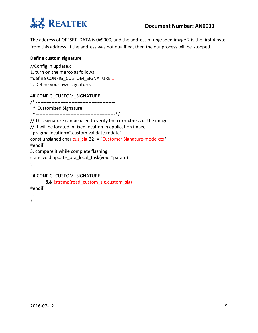

The address of OFFSET\_DATA is 0x9000, and the address of upgraded image 2 is the first 4 byte from this address. If the address was not qualified, then the ota process will be stopped.

**\_\_\_\_\_\_\_\_\_\_\_\_\_\_\_\_\_\_\_\_\_\_\_\_\_\_\_\_\_\_\_\_\_\_\_\_\_\_\_\_\_\_\_\_\_\_\_\_\_\_\_\_\_\_\_\_\_\_\_\_\_\_\_**

#### **Define custom signature**

| //Config in update.c<br>1. turn on the marco as follows:<br>#define CONFIG CUSTOM SIGNATURE 1<br>2. Define your own signature.                                                                                                                                                                                                                                    |
|-------------------------------------------------------------------------------------------------------------------------------------------------------------------------------------------------------------------------------------------------------------------------------------------------------------------------------------------------------------------|
| #if CONFIG_CUSTOM_SIGNATURE                                                                                                                                                                                                                                                                                                                                       |
| * Customized Signature                                                                                                                                                                                                                                                                                                                                            |
| // This signature can be used to verify the correctness of the image<br>// It will be located in fixed location in application image<br>#pragma location=".custom.validate.rodata"<br>const unsigned char cus sig[32] = "Customer Signature-modelxxx";<br>#endif<br>3. compare it while complete flashing.<br>static void update ota local task(void *param)<br>₹ |
| #if CONFIG CUSTOM SIGNATURE                                                                                                                                                                                                                                                                                                                                       |
| && !strcmp(read_custom_sig,custom_sig)                                                                                                                                                                                                                                                                                                                            |
| #endif                                                                                                                                                                                                                                                                                                                                                            |
|                                                                                                                                                                                                                                                                                                                                                                   |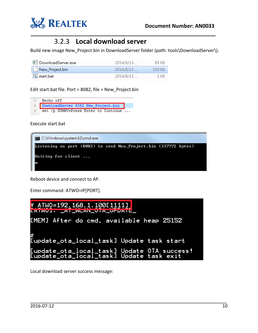

### 3.2.3 **Local download server**

Build new image New Project.bin in DownloadServer folder (path: tools\DownloadServer\).

<span id="page-9-0"></span>**\_\_\_\_\_\_\_\_\_\_\_\_\_\_\_\_\_\_\_\_\_\_\_\_\_\_\_\_\_\_\_\_\_\_\_\_\_\_\_\_\_\_\_\_\_\_\_\_\_\_\_\_\_\_\_\_\_\_\_\_\_\_\_**

| DownloadServer.exe | 2014/6/13 | 85 KB  |
|--------------------|-----------|--------|
| New_Project.bin    | 2014/8/13 | 330 KB |
| Sstart.bat         | 2014/8/13 | 1 KB   |

Edit start.bat file. Port = 8082, file = New\_Project.bin

| $\mathbf{1}$   | @echo off                             |  |
|----------------|---------------------------------------|--|
|                | 2 DownloadServer 8082 New Project.bin |  |
| $\mathfrak{D}$ | set /p DUMMY=Press Enter to Continue  |  |

Execute start.bat



Reboot device and connect to AP.

Enter command: ATWO=IP[PORT].



Local download server success message: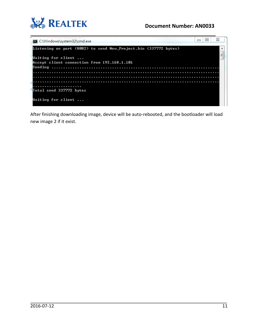

#### **Document Number: AN0033**

| х<br>$\Box$<br>$\equiv$<br>C:\Windows\system32\cmd.exe          |   |
|-----------------------------------------------------------------|---|
| Listening on port (8082) to send New_Project.bin (337772 bytes) |   |
| Waiting for client                                              | Ξ |
| Accept client connection from 192.168.1.101                     |   |
| Sending                                                         |   |
|                                                                 |   |
|                                                                 |   |
| Total send 337772 bytes                                         |   |
|                                                                 |   |
| Waiting for client                                              |   |

After finishing downloading image, device will be auto-rebooted, and the bootloader will load new image 2 if it exist.